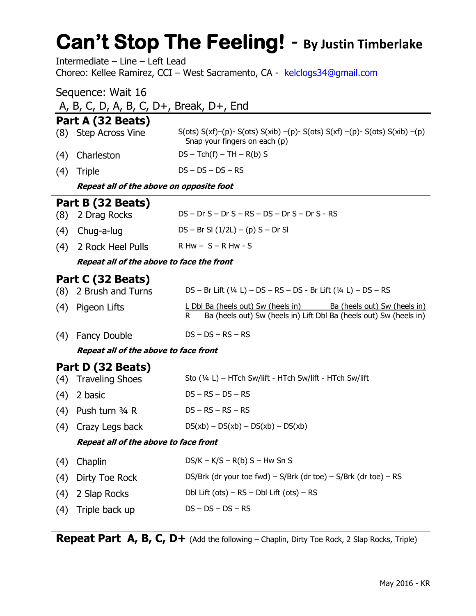# **Can't Stop The Feeling!** *-* **By Justin Timberlake**

Intermediate – Line – Left Lead Choreo: Kellee Ramirez, CCI – West Sacramento, CA - [kelclogs34@gmail.com](mailto:kelclogs34@gmail.com)

| Sequence: Wait 16                             |                                                                                                                                                |  |  |
|-----------------------------------------------|------------------------------------------------------------------------------------------------------------------------------------------------|--|--|
| A, B, C, D, A, B, C, $D+$ , Break, $D+$ , End |                                                                                                                                                |  |  |
| Part A (32 Beats)                             |                                                                                                                                                |  |  |
| (8) Step Across Vine                          | S(ots) $S(xf)-(p)$ - S(ots) $S(xib)-(p)$ - S(ots) $S(xf)-(p)$ - S(ots) $S(xib)-(p)$<br>Snap your fingers on each (p)                           |  |  |
| Charleston<br>(4)                             | $DS - Tch(f) - TH - R(b) S$                                                                                                                    |  |  |
| (4)<br>Triple                                 | $DS - DS - DS - RS$                                                                                                                            |  |  |
| Repeat all of the above on opposite foot      |                                                                                                                                                |  |  |
| Part B (32 Beats)                             |                                                                                                                                                |  |  |
| 2 Drag Rocks<br>(8)                           | $DS - Dr S - Dr S - RS - DS - Dr S - Dr S - RS$                                                                                                |  |  |
| (4)<br>Chug-a-lug                             | $DS - Br SI (1/2L) - (p) S - Dr SI$                                                                                                            |  |  |
| 2 Rock Heel Pulls<br>(4)                      | $R$ Hw $- S - R$ Hw - S                                                                                                                        |  |  |
| Repeat all of the above to face the front     |                                                                                                                                                |  |  |
| Part C (32 Beats)                             |                                                                                                                                                |  |  |
| 2 Brush and Turns<br>(8)                      | $DS - Br$ Lift (1/4 L) $- DS - RS - DS - Br$ Lift (1/4 L) $- DS - RS$                                                                          |  |  |
| (4)<br>Pigeon Lifts                           | L Dbl Ba (heels out) Sw (heels in)<br>Ba (heels out) Sw (heels in)<br>Ba (heels out) Sw (heels in) Lift Dbl Ba (heels out) Sw (heels in)<br>R. |  |  |

- (4) Fancy Double DS DS RS RS
	- **Repeat all of the above to face front**

### **Part D (32 Beats)**

|     | (4) Traveling Shoes                          | Sto (1/4 L) – HTch Sw/lift - HTch Sw/lift - HTch Sw/lift        |
|-----|----------------------------------------------|-----------------------------------------------------------------|
| (4) | 2 basic                                      | $DS - RS - DS - RS$                                             |
| (4) | Push turn 3/4 R                              | $DS - RS - RS - RS$                                             |
| (4) | Crazy Legs back                              | $DS(xb) - DS(xb) - DS(xb) - DS(xb)$                             |
|     | <b>Repeat all of the above to face front</b> |                                                                 |
| (4) | Chaplin                                      | $DS/K - K/S - R(b) S - Hw Sn S$                                 |
| (4) | Dirty Toe Rock                               | DS/Brk (dr your toe fwd) – S/Brk (dr toe) – S/Brk (dr toe) – RS |
| (4) | 2 Slap Rocks                                 | Dbl Lift (ots) $-$ RS $-$ Dbl Lift (ots) $-$ RS                 |
|     | (4) Triple back up                           | $DS - DS - DS - RS$                                             |

**Repeat Part A, B, C, D+** (Add the following – Chaplin, Dirty Toe Rock, 2 Slap Rocks, Triple)